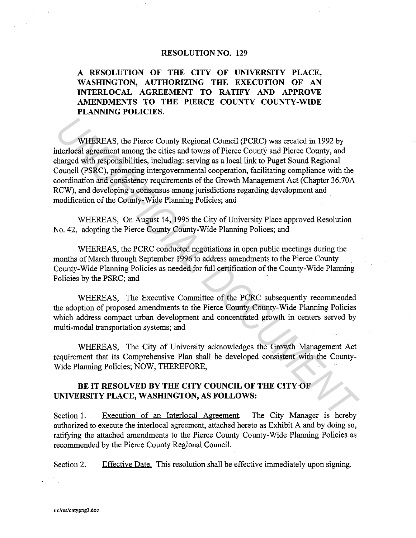#### **RESOLUTION NO. 129**

**A RESOLUTION OF THE CITY OF UNIVERSITY PLACE, WASHINGTON, AUTHORIZING THE EXECUTION OF AN INTERLOCAL AGREEMENT TO RATIFY AND APPROVE AMENDMENTS TO THE PIERCE COUNTY COUNTY-WIDE PLANNING POLICIES.** 

WHEREAS, the Pierce County Regional Council (PCRC) was created in 1992 by interlocal agreement among the cities and towns of Pierce Counfy and Pierce County, and charged with responsibilities, including: serving as a local link to Puget Sound Regional Council (PSRC), promoting intergovernmental cooperation, facilitating compliance with the coordination and consistency requirements of the Growth Management Act (Chapter 36.70A RCW), and developing a consensus among jurisdictions regarding development and modification of the County-Wide Planning Policies; and **WHEREAS, the Pierce County Regional Council (PCRC) was created in 1992 by<br>
Interloced agreement armong the cities and towns of Pierce County and<br>
Inhagened with responsibilities, including: serving as a local link to Puge** 

WHEREAS, On August 14, 1995 the City of University Place approved Resolution No. 42, adopting the Pierce County County-Wide Planning Polices; and

WHEREAS, the PCRC conducted negotiations in open public meetings during the months of March through September 1996 to address amendments to the Pierce County County-Wide Planning Policies as needed for full certification of the County-Wide Planning Policies by the PSRC; and

WHEREAS, The Executive Committee of the PCRC subsequently recommended the adoption of proposed amendments to the Pierce County County-Wide Planning Policies which address compact urban development and concentrated growth in centers served by multi-modal transportation systems; and

WHEREAS, The City of University acknowledges the Growth Management Act requirement that its Comprehensive Plan shall be developed consistent with the County-Wide Planning Policies; NOW, THEREFORE,

# **BE IT RESOLVED BY THE CITY COUNCIL OF THE CITY OF UNIVERSITY PLACE, WASHINGTON, AS FOLLOWS:**

Section 1. Execution of an Interlocal Agreement. The City Manager is hereby authorized to execute the interlocal agreement, attached hereto as Exhibit A and by doing so, ratifying the attached amendments to the Pierce County County-Wide Planning Policies as recommended by the Pierce County Regional Council.

Section 2. Effective Date. This resolution shall be effective immediately upon signing.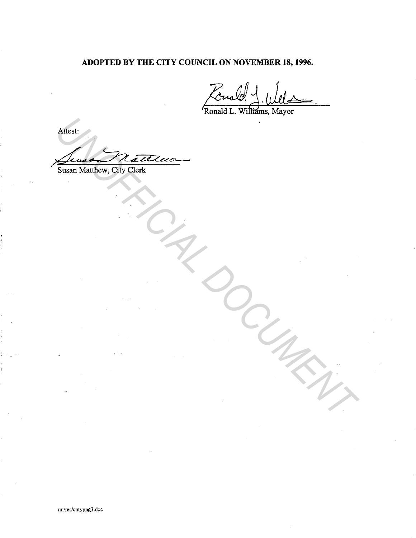# ADOPTED BY THE CITY COUNCIL ON NOVEMBER 18, 1996.

Ronald L. Williams, Mayor

Attest: Susan Matthew, City Clerk Arthurst.<br>
Susain Marthew, City Clerk.<br>
Susain Marthew, City Clerk.<br>
Alan Marthew, City Clerk.<br>
Alan Marthew Property Contract on the Contract of the Contract of the Contract of the Contract of the Contract of the Contract

m:/res/cntypng3.doc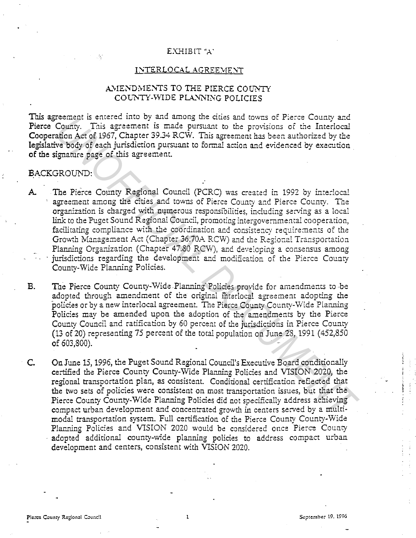#### EXHIBIT "A"

#### INTERLOCAL AGREEMENT

## AMENDMENTS TO THE PIERCE COUNTY COUNTY-WIDE PLANNING POLICIES

This agreement is entered into by and among the cities and towns of Pierce County and Pierce County. This agreement is made pursuant to the provisions of the Interlocal Cooperation Act of 1967, Chapter 39.34 RCW. This agreement has been authorized by the legislative body of each jurisdiction pursuant to formal action and evidenced by execution of the signature page of this agreement.

## BACKGROUND:

The Pierce County Regional Council (PCRC) was created in 1992 by interlocal  ${\bf A}$ agreement among the cities and towns of Pierce County and Pierce County. The organization is charged with numerous responsibilities, including serving as a local link to the Puget Sound Regional Council, promoting intergovernmental cooperation, facilitating compliance with the coordination and consistency requirements of the Growth Management Act (Chapter 36.70A RCW) and the Regional Transportation Planning Organization (Chapter 47.80 RCW), and developing a consensus among jurisdictions regarding the development and modification of the Pierce County County-Wide Planning Policies.

 $B.$ The Pierce County County-Wide Planning Policies provide for amendments to be adopted through amendment of the original interlocal agreement adopting the policies or by a new interlocal agreement. The Pierce County County-Wide Planning Policies may be amended upon the adoption of the amendments by the Pierce County Council and ratification by 60 percent of the jurisdictions in Pierce County (13 of 20) representing 75 percent of the total population on June 28, 1991 (452,850 of 603,800).

On June 15, 1996, the Puget Sound Regional Council's Executive Board conditionally  $C_{\cdot}$ certified the Pierce County County-Wide Planning Policies and VISION 2020, the regional transportation plan, as consistent. Conditional certification reflected that the two sets of policies were consistent on most transportation issues, but that the Pierce County County-Wide Planning Policies did not specifically address achieving compact urban development and concentrated growth in centers served by a multimodal transportation system. Full certification of the Pierce County County-Wide Planning Policies and VISION 2020 would be considered once Pierce County adopted additional county-wide planning policies to address compact urban development and centers, consistent with VISION 2020.

 $\mathbf{I}$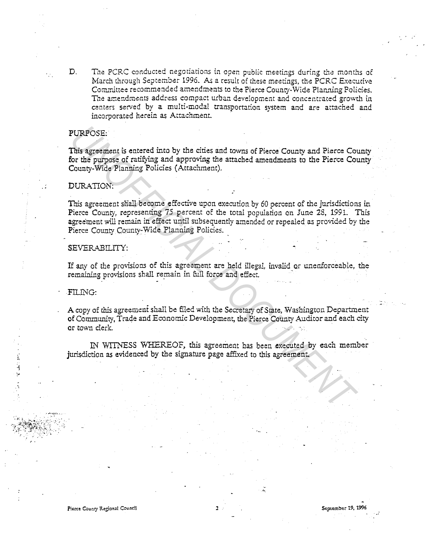D. The PCRC conducted negotiations in open public meetings during the months of March through September 1996. As a result of these meetings, the PCRC Executive Committee recommended amendments to the Pierce County-Wide Planning Policies. The amendments address compact urban development and concentrated growth in centers served by a multi-modal transnortation svstem and are attached and incorporated herein as Attachment.

## PURPOSE:

 $\epsilon$  .

This agreement is entered into by the cities and towns of Pierce County and Pierce County for the purpose of ratifying and approving the attached amendments to the Pierce County County-Wide Planning Policies (Attachment).

#### DURATION:

This agreement shall become effective upon execution by 60 percent of the jurisdictions in Pierce County, representing 75 percent of the total population on June 28, 1991. This agreement will remain in effect until subsequently amended or repealed as provided by the Pierce County County~Wide Planning Policies. **EURPOSE:**<br> **INIs agreement is entered into by the cities and towns of Pierce County and Pierce Cor<br>
for the purpose of ratifying and approving the attached amendments to the Pierce Cor<br>
County-Wide Planning Policies (Atta** 

## SEVERABILITY:

If any of the provisions of this agreement are held illegal, invalid or unenforceable, the remaining provisions shall remain in full force and effect.

## -FILING:

 $\frac{1}{2}$ 

A copy of this agreement shall be filed with the Secretary of State, Washington Department of Community, Trade and Economic Development, the Pierce County Auditor and each city or town clerk.

IN 'WITNESS WHEREOF, this agreement has been executed by each member jurisdiction as evidenced by the signature page affixed to this agreement.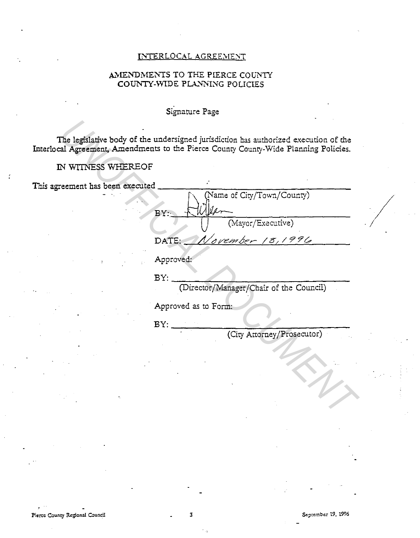# INTERLOCAL AGREEMENT

# AMENDMENTS TO THE PIERCE COUNTY COUNTY-WIDE PLANNING POLICIES

# Signature Page

The legislative body of the undersigned jurisdiction has authorized execution of the Interlocal Agreement, Amendments to the Pierce County County-Wide Planning Policies.

# IN WITNESS WHEREOF

This agreement has been executed

(Name of City/Town/County)  $BY:$ (Mayor/Executive)  $18,1996$ DATE: lavember

Approved:

 $BY:$ 

(Director/Manager/Chair of the Council)

Approved as to Form:

 $BY:$ 

(City Attorney/Prosecutor)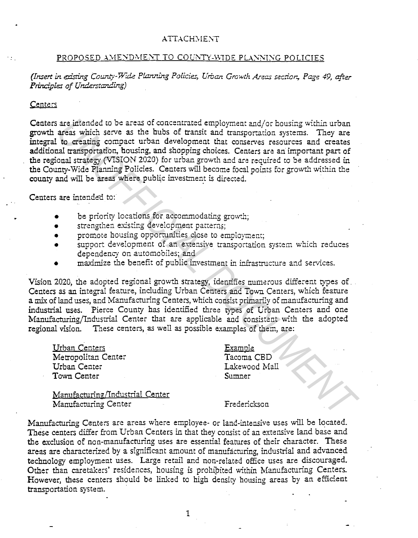### ATTACHMENT

# PROPOSED AMENDMENT TO COUNTY-WIDE PLANNING POLICIES

*(Insert in existing County-Wide Planning Policies, Urban Growth Areas section, Page 49, after Principles of Understanding)* 

#### Centers

Centers are intended to be areas of concentrated employment and/or housing within urban growth areas which serve as the hubs of transit and transportation systems. They are integral to creating compact urban development that conserves resources and creates additional transportation, housing, and shopping choices. Centers are an important part of the regional strategy (VISION 2020) for urban growth and are required to be addressed in the County-Wide Planning Policies. Centers will become focal points for growth within the county and will be areas where public investment is directed. are intended to be aceas of concentrated employment and/or housing within urban<br>**areas** which serve as the busto of transit and transporation systems. They are<br>to creating compact urban development that conserves resources

Centers are intended to:

- be priority locations for accommodating growth;
- strengthen existing development patterns;
- promote housing opporrunities close to employment;
- support development of an extensive transportation system which reduces dependency on automobiles; and
- maximize the benefit of public investment in infrastructure and services.

Vision 2020, the adopted regional growth strategy, identifies numerous different types of. Centers as an integral feature, including Urban Centers and Town Centers, which feature a mix of land uses, and Manufacturing Centers, which consist primarily of manufacturing and industrial uses. Pierce County has identified three types of Urban Centers and one Manufacturing/Industrial Center that are applicable and consistent with the adopted regional vision. Tnese centers, as well as possible examples of them, are:

Urban Centers Metropolitan Center Urban Center Town Center

Examole Tacoma CED Lakewood Mall  $Sumner$ 

Manufacturing/Industrial Center Manufacturing Center

Frederickson

Manufacturing Centers are areas where employee- or land-intensive uses will be located. These centers differ from Urban Centers in that they consist of an extensive land base and the exclusion of non-manufacturing uses are essential features of their character. These areas are characterized by a significant amount of manufacturing, industrial and advanced technology employment uses. Large retail and non-related office uses are discouraged. Other than caretakers' residences, housing is prohibited within Manufacturing Centers. However, these centers should be linked to high density housing areas by an efficient transportation system. ·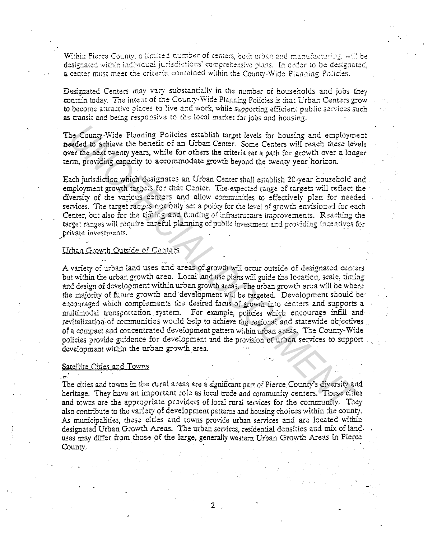Within Pierce County, a limited number of centers, both urban and manufacturing, will be designated within individual jurisdictions' comprehensive plans. In order to be designated, a center must meet the criteria contained within the County-Wide Planning Policies.

Designated Centers may vary substantially in the number of households and jobs they contain today. The intent of the County-Wide Planning Policies is that Urban Centers grow to become attractive places to live and work, while supporting efficient public services such as transit and being responsive to the local market for jobs and housing.

The County-Wide Planning Policies establish target levels for housing and employment needed to achieve the benefit of an Urban Center. Some Centers will reach these levels over the next twenty years, while for others the criteria set a path for growth over a longer term, providing capacity to accommodate growth beyond the twenty year horizon.

Each jurisdiction which designates an Urban Center shall establish 20-year household and employment growth targets for that Center. The expected range of targets will reflect the diversity of the various centers and allow communities to effectively plan for needed services. The target ranges not only set a policy for the level of growth envisioned for each Center, but also for the timing and funding of infrastructure improvements. Reaching the target ranges will require careful planning of public investment and providing incentives for private investments.

## Urban Growth Outside of Centers

A variety of urban land uses and areas of growth will occur outside of designated centers but within the urban growth area. Local land use plans will guide the location, scale, timing and design of development within urban growth areas. The urban growth area will be where the majority of future growth and development will be targeted. Development should be encouraged which complements the desired focus of growth into centers and supports a multimodal transportation system. For example, policies which encourage infill and revitalization of communities would help to achieve the regional and statewide objectives of a compact and concentrated development pattern within urban areas. The County-Wide policies provide guidance for development and the provision of urban services to supportdevelopment within the urban growth area.

### Satellite Cities and Towns

 $\mathbf{A}$ 

The cities and towns in the rural areas are a significant part of Pierce County's diversity and heritage. They have an important role as local trade and community centers. These cities and towns are the appropriate providers of local rural services for the community. They also contribute to the variety of development patterns and housing choices within the county. As municipalities, these cities and towns provide urban services and are located within designated Urban Growth Areas. The urban services, residential densities and mix of land. uses may differ from those of the large, generally western Urban Growth Areas in Pierce County.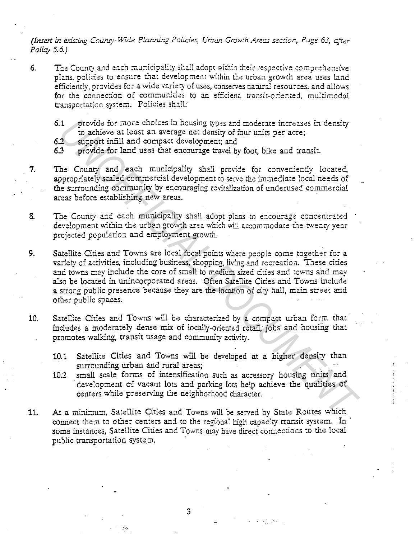*(Insert in existing County-Wide Planning Policies, Urban Growth Areas section, Page 63, after Policy 5.6.)* 

- 6. The County and each municipality shall adopt within their respective comprehensive plans, policies to ensure that development within the urban growth area uses land efficiently, provides for a wide variety of uses, conserves natural resources, and allows for the connection of communities to an efficient, transit-oriented, multimodal transportation system. Policies shall:
	- 6.1 provide for more choices in housing types and moderate increases in density to achieve at least an average net density of four units per acre;
	- 6.2 support infill and compact development; and
	- 63 provide for land uses that encourage travel by foot, bike and transit.
- 7. Tne County and each municipality shall provide for conveniently located, appropriately scaled commercial development to serve the immediate local needs of the surrounding community by encouraging revitalization of undemsed commercial areas before establishing new areas.
- 8. Tne County and each municipality shall adopt plans to encourage concentrated development within the urban growth area which will accommodate the twenty year projected population and employment growth.
- 9. Satellite Cities and Towns are local focal points where people come together for a variety of activities, including business, shopping, living and recreation. Tnese cities and towns may include the core of small to medium sized cities and towns and may also be located in unincorporated areas. Often Satellite Cities and Towns include a strong public presence because they are the location of city hall, main street and other public spaces. 1 provide for more choices in bousing types and moderate increases in density<br>2 support infill and compact development and<br>2 support infill and compact development and<br>3 provide for land uses that encourage travel by foot,
- 10. Satellite Cities and Towns will be characterized by a compact urban form that includes a moderately dense mix of locally-oriented retail; jobs and housing that promotes walking, transit usage and community activity.
	- 10.1 Satellite Cities and Towns will be developed at a higher density than surrounding urban and rural areas;
	- 10.2 small scale forms of intensification such as accessory housing units and development of vacant lots and parking lots help achieve the qualities of centers while preserving the neighborhood character.
- 11. At a minimum, Satellite Cities and Towns will be served by State Routes which connect them to other centers and to the regional high capacity transit system. In · some instances, Satellite Cities and Towns may have direct connections to the local public transportation system.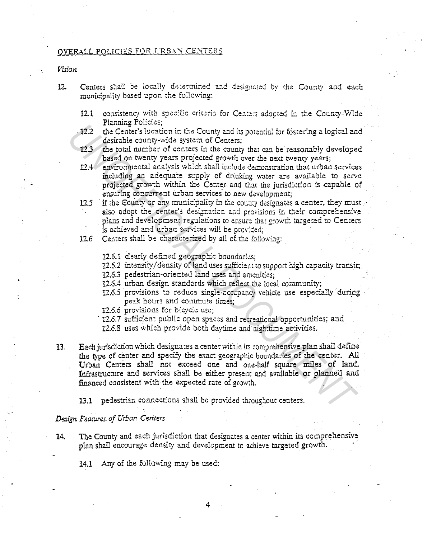## OVERALL POLICIES FOR URBAN CENTERS

*Vl.Sion* 

- 12. Centers shall be locally determined and designated by the County and each municipality based upon the following:
	- 12.1 consistency with specific criteria for Centers adopted in the County-Wide Planning Policies;
	- 12.2 the Center's location in the County and its potential for fostering a logical and desirable county-wide system of Centers;
	- 12.3 the total number of centers in the county that can be reasonably developed based on twenty years projected growth over the next twenty years;
	- 12.4 environmental analysis which shall include demonstration that urban services including an adequate supply of drinking water are available to serve projected growth within the Center and that the jurisdiction is capable of ensuring concurrent urban services to new development;
	- 12.5 if the County or any municipality in the county designates a center, they must. also adopt the center's designation and provisions in their comprehensive plans and development regulations to ensure that growth targeted to Centers is achieved and urban services will be provided;
	- 12.6 Centers shall be characterized by all of the following:
		- 12.6.1 clearly defined geographic boundaries;
		- 12.6.2 intensity/density of land uses sufficient to support high capacity transit;
		- 12.6.3 pedestrian-oriented land uses and amenicies;
		- 12.6.4 urban design standards which reflect the local community;
		- 12.6.5 provisions to reduce single-occupancy vehicle use especially during peak hours and commute times;
		- 12.6.6 provisions for bicycle use;
		- 12.6.7 sufficient public open spaces and recreational opportunities; and
		- 12.6.8 uses which provide both daytime and nighttime activities.
- 13. Each jurisdiction which designates a center within its comprehensive plan shall define the type of center and specify the exact geographic boundaries of the center. All Urban Centers shall not exceed one and one-half square miles of land. Infrastructure and services shall be either present and available or planned and financed consistent with the expected rate of growth. The Center's location in the County and its potential for fostering a logical activalent desirable county-wide system of Centers;<br>
The point mumber of centers in the county that can be reasonably develope<br>
22.3 the total n

13.1 pedestrian connections shall be provided throughout centers.

#### *Design Features of Urban Centers*

14. The County and each jurisdiction that designates a center within its comprehensive plan shall encourage density and development to achieve targeted growth.

14.1 Any of the following may be used: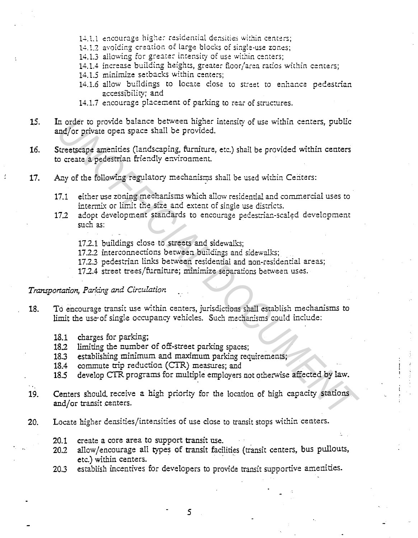- 14.1.1 encourage higher residential densities within centers;
- 14.1.2 avoiding creation of large blocks of single-use zones:
- 14.1.3 allowing for greater intensity of use within centers;
- 14.1.4 increase building heights, greater floor/area ratios within centers;
- 14.1.5 minimize setbacks within centers;
- 14.1.6 allow buildings to locate close to street to enhance pedestrian accessibility; and
- 14.1.7 encourage placement of parking to rear of structures.
- 15. In order to provide balance between higher intensity of use within centers, public and/or private open space shall be provided.
- Streetscape amenities (landscaping, furniture, etc.) shall be provided within centers 16. to create a pedestrian friendly environment.
- Any of the following regulatory mechanisms shall be used within Centers: 17.
	- either use zoning mechanisms which allow residential and commercial uses to 17.1 intermix or limit the size and extent of single use districts.
	- adopt development standards to encourage pedestrian-scaled development  $17.2$ such as:
		- 17.2.1 buildings close to streets and sidewalks;
		- 17.2.2 interconnections between buildings and sidewalks;
		- 17.2.3 pedestrian links between residential and non-residential areas;
		- 17.2.4 street trees/furniture; minimize separations between uses.

## Transportation, Parking and Circulation

- To encourage transit use within centers, jurisdictions shall establish mechanisms to 18. limit the use of single occupancy vehicles. Such mechanisms could include:
	- 18.1 charges for parking;
	- 18.2 limiting the number of off-street parking spaces;
	- establishing minimum and maximum parking requirements:  $18.3$
	- commute trip reduction (CTR) measures; and 18.4
	- $18.5$ develop CTR programs for multiple employers not otherwise affected by law.
- Centers should receive a high priority for the location of high capacity stations 19. and/or transit centers.
- Locate higher densities/intensities of use close to transit stops within centers. 20.
	- 20.1 create a core area to support transit use.
	- allow/encourage all types of transit facilities (transit centers, bus pullouts,  $20.2$ etc.) within centers.
	- establish incentives for developers to provide transit supportive amenities.  $20.3$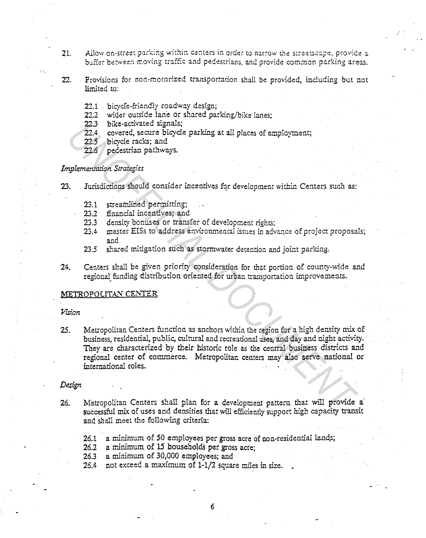21. **Allow on-street parking within centers in order to narrow the streetscape, provide a** buffer between moving traffic and pedestrians, and provide common parking areas. ..

- 22. Provisions for non-motorized transportation shall be provided, including but not limited to:
	- 22.1 bicycle-friendly roadway design;
	- 22.2 wider outside lane or shared parking/bike lanes;
	- 223 bike-activated signals;
	- 22.4 covered, secure bicycle parking at all places of employment;
	- 22.5 bicycle racks; and
	- 22.6 pedestrian pathways.

# *Implementation Strategies*

- 23. Jurisdictions should consider incentives for development within Centers such as:
	- 23.1 streamlined permitting;
	- 23.2 financial incentives; and
	- 23.3 density bonuses or transfer of development rights;
	- 23.4 master EISs to address environmental issues in advance of project proposals; and
	- 23.5 shared mitigation such as stormwater detention and joint parking,
- 24. Centers shall be given priority consideration for that portion of county-wide and regional funding distribution oriented for urban transportation improvements.

#### METROPOLITAN CENTER

## *Virion*

·.·.

25. Metropolitan Centers function as anchors within the region for a high density mix of business, residential, public, cultural and recreational uses, and day and night activity. They are characterized by their historic role as the central business districts and regional center of commerce. Metropolitan centers may also serve national or international roles. 22.3 bixe-actuates signals;<br>22.4 covered, secure bicycle parking at all places of employment;<br>22.5 bicycle racks; and<br>22.6 pedestrian pathways.<br>3.3 bing-derection should consider incentives for development within Centers s

#### *Design*

- 26. Metropolitan Centers shall plan for a development pattern that will provide a successful mix of uses and densities that will efficiently support high capacity transit and shall meet the following criteria:
	- 26.1 a minimum of 50 employees per gross acre of non-residential lands;
	- 26.2 a minimum of 15 households per gross acre;
	- 26.3 a minimum of 30,000 employees; and
	- 26.4 not exceed a maximum of 1-1/2 square miles in size.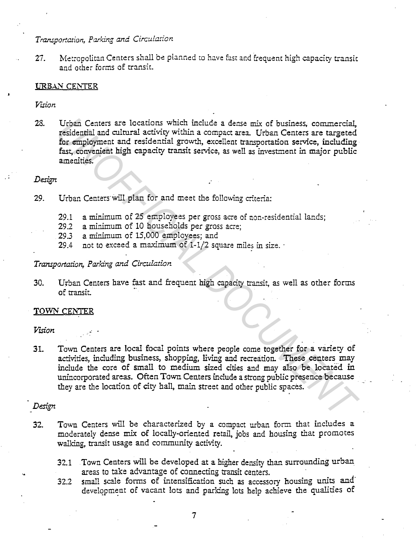# *Transportation, Parking and Circulation*

27. Metropolitan Centers shall be planned to have fast and frequent high capacity transit and other farms of transit.

## URBAN CENTER

*Vision* 

28. Urban Centers are locations which include a dense mix of business, commercial, residential and cultural activity within a compact area. Urban Centers are targeted for employment and residential growth, excellent transportation service, including fast, convenient high capacity transit service, as well as investment in major public amenities.

## *Design*

- 29. Urban Centers Will plan for and meet the following criteria:
	- 29.1 a minimum of 25 employees per gross acre of non-residential lands;
	- 29.2 a minimum of 10 households per gross acre;
	- 29.3 a minimum of 15,000 employees; and
	- 29.4 not to exceed a maximum of  $1-1/2$  square miles in size.

## *Transportation, Parking* and *Circulation*

30. Urban Centers have fast and frequent high capacity transit, as well as other forms of transit.

#### TOWN CENTER

*Vision* 

31. Town Centers are local focal points where people come together for a variety of activities, including business, shopping, living and recreation. These centers may include the core of small to medium sized cities and may also be located in unincorporated areas. Often Town Centers include a strong public presence because they are the location of city hall, main street and other public spaces. Urban Centers are locations which include a dense mix of business, commercial, residential and cultural activity within a compact area. Urban Centers are targeted fast, convenient high capacity transit service, as well as

## *Design*

- 32. Town Centers will be characterized by a compact urban form that includes a moderately dense mix of locally-oriented retail, jobs and housing that promotes walking, transit usage and community activity.
	- 32.1 Town Centers will be developed at a higher density than surrounding urban areas to take advantage of connecting transit centers. .
	- 32.2 small scale forms of intensification such as accessory housing units and· development of vacant lots and parking lots help achieve the qualities of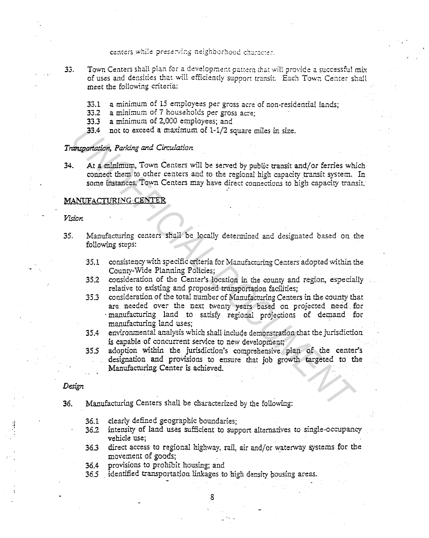centers while preserving neighborhood character.

- 33. Town Centers shall plan for a development pattern that will provide a successful mix of uses and densities that will efficiently support transit. Each Town Cemer shall meet the following criteria:
	- 33.1 a minimum of 15 employees per gross acre of non-residential lands;<br>33.2 a minimum of 7 households per gross acre:
	- a minimum of 7 households per gross acre;
	- 33.3 a minimum of 2,000 employees; and
	- 33.4 not to exceed a maximum of 1-1/2 square miles in size.

#### *Transportation, Parking and Circ'.i.lation*

34. At a minimum, Town Centers will be served by public transit and/or ferries which connect them to other centers and to the regional high capacity transit system. In some instances, Town Centers may have direct connections to high capacity transit.

#### MANUFACTURING CENTER

*Vision* 

- 35. Manufacturing centers shall be locally determined and designated based on the following steps:
	- 35.1 consistency with specific criteria for Manufacturing Centers adopted within the County-Wide Planning Policies;
	- 35.2 consideration of the Center's location in the county and region, especially relative to existing and proposed transportation facilities;
- 35.3 consideration of the total number of Manufacturing Centers in the county that are needed over the next twenty years based on projected need for · manufacturing land to satisfy regional projections of demand for manufacturing land uses; · 33.4 not to exceed a maximum of 1-1/2 square miles in size.<br> **Engineration, Parking and Circulation**<br>
At a minimum, Town Centers will be served by public transit and/or ferries whis<br>
connect them to other centers and to th
	- 35.4 environmental analysis which shall include demonstration that the jurisdiction is capable of concurrent service to new development;
	- 355 adoption within the jurisdiction's comprehensive plan of the center's designation and provisions to ensure that job growth targeted to the Manufacturing Center is achieved.

#### *Design*

- *36.* Manufacturing Centers shall be characterized by the following:
	- 36.1 clearly defined geographic boundaries;
	- 36.2 intensity of land uses sufficient to support alternatives to single-occupancy vehicle use;
	- 363 direct access to regional highway, rail, air and/or waterway systems for the movement of goods;

 $\ddot{\cdot}$  .

- 36.4 provisions to prohibit housing; and
- 36.5 identified transportation linkages to high density housing areas.